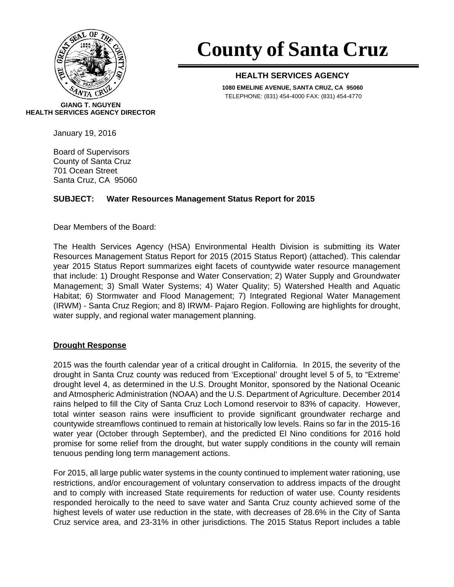

# **County of Santa Cruz**

## **HEALTH SERVICES AGENCY**

**1080 EMELINE AVENUE, SANTA CRUZ, CA 95060**  TELEPHONE: (831) 454-4000 FAX: (831) 454-4770

**GIANG T. NGUYEN HEALTH SERVICES AGENCY DIRECTOR** 

January 19, 2016

Board of Supervisors County of Santa Cruz 701 Ocean Street Santa Cruz, CA 95060

## **SUBJECT: Water Resources Management Status Report for 2015**

Dear Members of the Board:

The Health Services Agency (HSA) Environmental Health Division is submitting its Water Resources Management Status Report for 2015 (2015 Status Report) (attached). This calendar year 2015 Status Report summarizes eight facets of countywide water resource management that include: 1) Drought Response and Water Conservation; 2) Water Supply and Groundwater Management; 3) Small Water Systems; 4) Water Quality; 5) Watershed Health and Aquatic Habitat; 6) Stormwater and Flood Management; 7) Integrated Regional Water Management (IRWM) - Santa Cruz Region; and 8) IRWM- Pajaro Region. Following are highlights for drought, water supply, and regional water management planning.

## **Drought Response**

2015 was the fourth calendar year of a critical drought in California. In 2015, the severity of the drought in Santa Cruz county was reduced from 'Exceptional' drought level 5 of 5, to "Extreme' drought level 4, as determined in the U.S. Drought Monitor, sponsored by the National Oceanic and Atmospheric Administration (NOAA) and the U.S. Department of Agriculture. December 2014 rains helped to fill the City of Santa Cruz Loch Lomond reservoir to 83% of capacity. However, total winter season rains were insufficient to provide significant groundwater recharge and countywide streamflows continued to remain at historically low levels. Rains so far in the 2015-16 water year (October through September), and the predicted El Nino conditions for 2016 hold promise for some relief from the drought, but water supply conditions in the county will remain tenuous pending long term management actions.

For 2015, all large public water systems in the county continued to implement water rationing, use restrictions, and/or encouragement of voluntary conservation to address impacts of the drought and to comply with increased State requirements for reduction of water use. County residents responded heroically to the need to save water and Santa Cruz county achieved some of the highest levels of water use reduction in the state, with decreases of 28.6% in the City of Santa Cruz service area, and 23-31% in other jurisdictions. The 2015 Status Report includes a table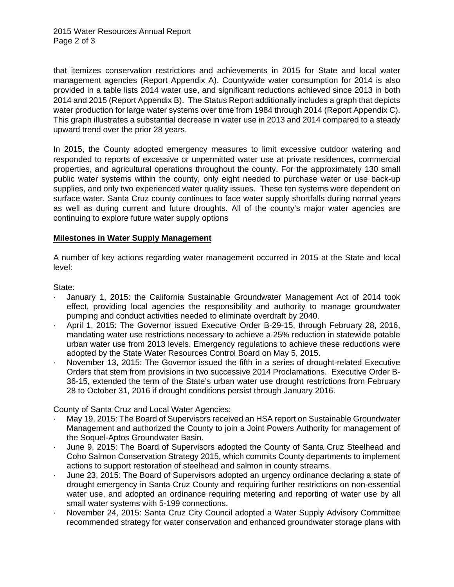that itemizes conservation restrictions and achievements in 2015 for State and local water management agencies (Report Appendix A). Countywide water consumption for 2014 is also provided in a table lists 2014 water use, and significant reductions achieved since 2013 in both 2014 and 2015 (Report Appendix B). The Status Report additionally includes a graph that depicts water production for large water systems over time from 1984 through 2014 (Report Appendix C). This graph illustrates a substantial decrease in water use in 2013 and 2014 compared to a steady upward trend over the prior 28 years.

In 2015, the County adopted emergency measures to limit excessive outdoor watering and responded to reports of excessive or unpermitted water use at private residences, commercial properties, and agricultural operations throughout the county. For the approximately 130 small public water systems within the county, only eight needed to purchase water or use back-up supplies, and only two experienced water quality issues. These ten systems were dependent on surface water. Santa Cruz county continues to face water supply shortfalls during normal years as well as during current and future droughts. All of the county's major water agencies are continuing to explore future water supply options

#### **Milestones in Water Supply Management**

A number of key actions regarding water management occurred in 2015 at the State and local level:

State:

- · January 1, 2015: the California Sustainable Groundwater Management Act of 2014 took effect, providing local agencies the responsibility and authority to manage groundwater pumping and conduct activities needed to eliminate overdraft by 2040.
- · April 1, 2015: The Governor issued Executive Order B-29-15, through February 28, 2016, mandating water use restrictions necessary to achieve a 25% reduction in statewide potable urban water use from 2013 levels. Emergency regulations to achieve these reductions were adopted by the State Water Resources Control Board on May 5, 2015.
- November 13, 2015: The Governor issued the fifth in a series of drought-related Executive Orders that stem from provisions in two successive 2014 Proclamations. Executive Order B-36-15, extended the term of the State's urban water use drought restrictions from February 28 to October 31, 2016 if drought conditions persist through January 2016.

County of Santa Cruz and Local Water Agencies:

- · May 19, 2015: The Board of Supervisors received an HSA report on Sustainable Groundwater Management and authorized the County to join a Joint Powers Authority for management of the Soquel-Aptos Groundwater Basin.
- · June 9, 2015: The Board of Supervisors adopted the County of Santa Cruz Steelhead and Coho Salmon Conservation Strategy 2015, which commits County departments to implement actions to support restoration of steelhead and salmon in county streams.
- · June 23, 2015: The Board of Supervisors adopted an urgency ordinance declaring a state of drought emergency in Santa Cruz County and requiring further restrictions on non-essential water use, and adopted an ordinance requiring metering and reporting of water use by all small water systems with 5-199 connections.
- · November 24, 2015: Santa Cruz City Council adopted a Water Supply Advisory Committee recommended strategy for water conservation and enhanced groundwater storage plans with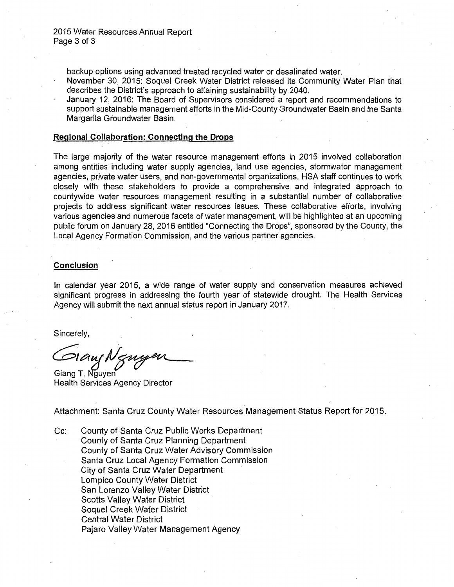backup options using advanced treated recycled water or desalinated water.

- November 30, 2015: Soquel Creek Water District released its Community Water Plan that describes the District's approach to attaining sustainability by 2040.
- January 12, 2016: The Board of Supervisors considered a report and recommendations to support sustainable management efforts in the Mid-County Groundwater Basin and the Santa Margarita Groundwater Basin. ·

#### **Regional Collaboration: Connecting the Drops**

The large majority of the water resource management efforts in 2015 involved collaboration among entities including water supply agencies, land use agencies, stormwater management agencies, private water users, and non-governmental organizations. HSA staff continues to work closely with these stakeholders to provide a comprehensive and integrated approach to countywide water resources management resulting in a substantial number of collaborative projects to address significant water resources issues. These collaborative efforts, involving various agencies and numerous facets of water management, will be highlighted at an upcoming public forum on January 28, 2016 entitled "Connecting the Drops", sponsored by the County, the Local Agency Formation Commission, and the various partner agencies.

## **Conclusion**

In calendar year 2015, a wide range of water supply and conservation measures achieved significant progress in addressing the fourth year of statewide drought. The Health Services Agency will submit the next annual status report in January 2017.

Sincerely,

 $D$ laus N $\ltimes n$ 

Giang T. Nguven Health Services Agency Director

Attachment: Santa Cruz County Water Resources Management Status Report for 2015.

Cc: County of Santa Cruz Public Works Department County of Santa Cruz Planning Department County of Santa Cruz Water Advisory Commission Santa Cruz Local Agency Formation Commission City of Santa Cruz Water Department Lompico County Water District San Lorenzo Valley Water District Scotts Valley Water District Soquel Creek Water District Central Water District Pajaro Valley Water Management Agency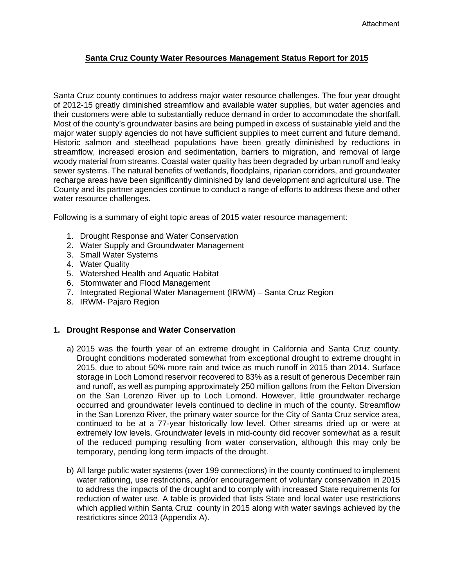## **Santa Cruz County Water Resources Management Status Report for 2015**

Santa Cruz county continues to address major water resource challenges. The four year drought of 2012-15 greatly diminished streamflow and available water supplies, but water agencies and their customers were able to substantially reduce demand in order to accommodate the shortfall. Most of the county's groundwater basins are being pumped in excess of sustainable yield and the major water supply agencies do not have sufficient supplies to meet current and future demand. Historic salmon and steelhead populations have been greatly diminished by reductions in streamflow, increased erosion and sedimentation, barriers to migration, and removal of large woody material from streams. Coastal water quality has been degraded by urban runoff and leaky sewer systems. The natural benefits of wetlands, floodplains, riparian corridors, and groundwater recharge areas have been significantly diminished by land development and agricultural use. The County and its partner agencies continue to conduct a range of efforts to address these and other water resource challenges.

Following is a summary of eight topic areas of 2015 water resource management:

- 1. Drought Response and Water Conservation
- 2. Water Supply and Groundwater Management
- 3. Small Water Systems
- 4. Water Quality
- 5. Watershed Health and Aquatic Habitat
- 6. Stormwater and Flood Management
- 7. Integrated Regional Water Management (IRWM) Santa Cruz Region
- 8. IRWM- Pajaro Region

#### **1. Drought Response and Water Conservation**

- a) 2015 was the fourth year of an extreme drought in California and Santa Cruz county. Drought conditions moderated somewhat from exceptional drought to extreme drought in 2015, due to about 50% more rain and twice as much runoff in 2015 than 2014. Surface storage in Loch Lomond reservoir recovered to 83% as a result of generous December rain and runoff, as well as pumping approximately 250 million gallons from the Felton Diversion on the San Lorenzo River up to Loch Lomond. However, little groundwater recharge occurred and groundwater levels continued to decline in much of the county. Streamflow in the San Lorenzo River, the primary water source for the City of Santa Cruz service area, continued to be at a 77-year historically low level. Other streams dried up or were at extremely low levels. Groundwater levels in mid-county did recover somewhat as a result of the reduced pumping resulting from water conservation, although this may only be temporary, pending long term impacts of the drought.
- b) All large public water systems (over 199 connections) in the county continued to implement water rationing, use restrictions, and/or encouragement of voluntary conservation in 2015 to address the impacts of the drought and to comply with increased State requirements for reduction of water use. A table is provided that lists State and local water use restrictions which applied within Santa Cruz county in 2015 along with water savings achieved by the restrictions since 2013 (Appendix A).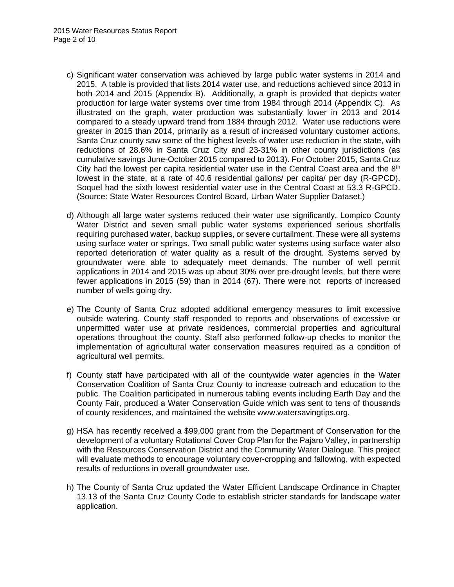- c) Significant water conservation was achieved by large public water systems in 2014 and 2015. A table is provided that lists 2014 water use, and reductions achieved since 2013 in both 2014 and 2015 (Appendix B). Additionally, a graph is provided that depicts water production for large water systems over time from 1984 through 2014 (Appendix C). As illustrated on the graph, water production was substantially lower in 2013 and 2014 compared to a steady upward trend from 1884 through 2012. Water use reductions were greater in 2015 than 2014, primarily as a result of increased voluntary customer actions. Santa Cruz county saw some of the highest levels of water use reduction in the state, with reductions of 28.6% in Santa Cruz City and 23-31% in other county jurisdictions (as cumulative savings June-October 2015 compared to 2013). For October 2015, Santa Cruz City had the lowest per capita residential water use in the Central Coast area and the  $8<sup>th</sup>$ lowest in the state, at a rate of 40.6 residential gallons/ per capita/ per day (R-GPCD). Soquel had the sixth lowest residential water use in the Central Coast at 53.3 R-GPCD. (Source: State Water Resources Control Board, Urban Water Supplier Dataset.)
- d) Although all large water systems reduced their water use significantly, Lompico County Water District and seven small public water systems experienced serious shortfalls requiring purchased water, backup supplies, or severe curtailment. These were all systems using surface water or springs. Two small public water systems using surface water also reported deterioration of water quality as a result of the drought. Systems served by groundwater were able to adequately meet demands. The number of well permit applications in 2014 and 2015 was up about 30% over pre-drought levels, but there were fewer applications in 2015 (59) than in 2014 (67). There were not reports of increased number of wells going dry.
- e) The County of Santa Cruz adopted additional emergency measures to limit excessive outside watering. County staff responded to reports and observations of excessive or unpermitted water use at private residences, commercial properties and agricultural operations throughout the county. Staff also performed follow-up checks to monitor the implementation of agricultural water conservation measures required as a condition of agricultural well permits.
- f) County staff have participated with all of the countywide water agencies in the Water Conservation Coalition of Santa Cruz County to increase outreach and education to the public. The Coalition participated in numerous tabling events including Earth Day and the County Fair, produced a Water Conservation Guide which was sent to tens of thousands of county residences, and maintained the website www.watersavingtips.org.
- g) HSA has recently received a \$99,000 grant from the Department of Conservation for the development of a voluntary Rotational Cover Crop Plan for the Pajaro Valley, in partnership with the Resources Conservation District and the Community Water Dialogue. This project will evaluate methods to encourage voluntary cover-cropping and fallowing, with expected results of reductions in overall groundwater use.
- h) The County of Santa Cruz updated the Water Efficient Landscape Ordinance in Chapter 13.13 of the Santa Cruz County Code to establish stricter standards for landscape water application.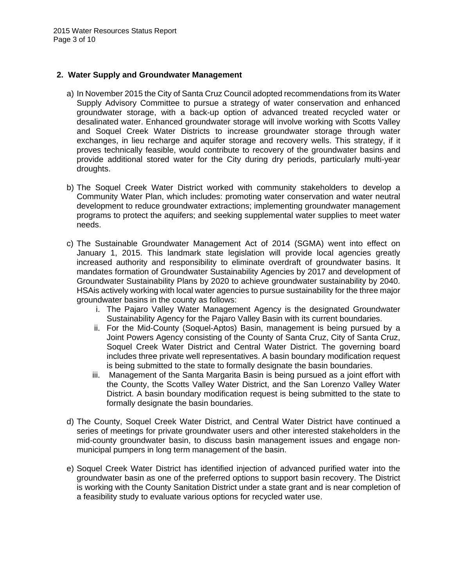#### **2. Water Supply and Groundwater Management**

- a) In November 2015 the City of Santa Cruz Council adopted recommendations from its Water Supply Advisory Committee to pursue a strategy of water conservation and enhanced groundwater storage, with a back-up option of advanced treated recycled water or desalinated water. Enhanced groundwater storage will involve working with Scotts Valley and Soquel Creek Water Districts to increase groundwater storage through water exchanges, in lieu recharge and aquifer storage and recovery wells. This strategy, if it proves technically feasible, would contribute to recovery of the groundwater basins and provide additional stored water for the City during dry periods, particularly multi-year droughts.
- b) The Soquel Creek Water District worked with community stakeholders to develop a Community Water Plan, which includes: promoting water conservation and water neutral development to reduce groundwater extractions; implementing groundwater management programs to protect the aquifers; and seeking supplemental water supplies to meet water needs.
- c) The Sustainable Groundwater Management Act of 2014 (SGMA) went into effect on January 1, 2015. This landmark state legislation will provide local agencies greatly increased authority and responsibility to eliminate overdraft of groundwater basins. It mandates formation of Groundwater Sustainability Agencies by 2017 and development of Groundwater Sustainability Plans by 2020 to achieve groundwater sustainability by 2040. HSAis actively working with local water agencies to pursue sustainability for the three major groundwater basins in the county as follows:
	- i. The Pajaro Valley Water Management Agency is the designated Groundwater Sustainability Agency for the Pajaro Valley Basin with its current boundaries.
	- ii. For the Mid-County (Soquel-Aptos) Basin, management is being pursued by a Joint Powers Agency consisting of the County of Santa Cruz, City of Santa Cruz, Soquel Creek Water District and Central Water District. The governing board includes three private well representatives. A basin boundary modification request is being submitted to the state to formally designate the basin boundaries.
	- iii. Management of the Santa Margarita Basin is being pursued as a joint effort with the County, the Scotts Valley Water District, and the San Lorenzo Valley Water District. A basin boundary modification request is being submitted to the state to formally designate the basin boundaries.
- d) The County, Soquel Creek Water District, and Central Water District have continued a series of meetings for private groundwater users and other interested stakeholders in the mid-county groundwater basin, to discuss basin management issues and engage nonmunicipal pumpers in long term management of the basin.
- e) Soquel Creek Water District has identified injection of advanced purified water into the groundwater basin as one of the preferred options to support basin recovery. The District is working with the County Sanitation District under a state grant and is near completion of a feasibility study to evaluate various options for recycled water use.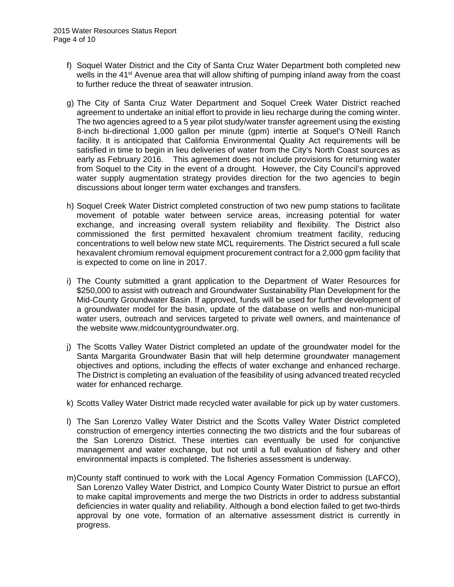- f) Soquel Water District and the City of Santa Cruz Water Department both completed new wells in the 41<sup>st</sup> Avenue area that will allow shifting of pumping inland away from the coast to further reduce the threat of seawater intrusion.
- g) The City of Santa Cruz Water Department and Soquel Creek Water District reached agreement to undertake an initial effort to provide in lieu recharge during the coming winter. The two agencies agreed to a 5 year pilot study/water transfer agreement using the existing 8-inch bi-directional 1,000 gallon per minute (gpm) intertie at Soquel's O'Neill Ranch facility. It is anticipated that California Environmental Quality Act requirements will be satisfied in time to begin in lieu deliveries of water from the City's North Coast sources as early as February 2016. This agreement does not include provisions for returning water from Soquel to the City in the event of a drought. However, the City Council's approved water supply augmentation strategy provides direction for the two agencies to begin discussions about longer term water exchanges and transfers.
- h) Soquel Creek Water District completed construction of two new pump stations to facilitate movement of potable water between service areas, increasing potential for water exchange, and increasing overall system reliability and flexibility. The District also commissioned the first permitted hexavalent chromium treatment facility, reducing concentrations to well below new state MCL requirements. The District secured a full scale hexavalent chromium removal equipment procurement contract for a 2,000 gpm facility that is expected to come on line in 2017.
- i) The County submitted a grant application to the Department of Water Resources for \$250,000 to assist with outreach and Groundwater Sustainability Plan Development for the Mid-County Groundwater Basin. If approved, funds will be used for further development of a groundwater model for the basin, update of the database on wells and non-municipal water users, outreach and services targeted to private well owners, and maintenance of the website www.midcountygroundwater.org.
- j) The Scotts Valley Water District completed an update of the groundwater model for the Santa Margarita Groundwater Basin that will help determine groundwater management objectives and options, including the effects of water exchange and enhanced recharge. The District is completing an evaluation of the feasibility of using advanced treated recycled water for enhanced recharge.
- k) Scotts Valley Water District made recycled water available for pick up by water customers.
- l) The San Lorenzo Valley Water District and the Scotts Valley Water District completed construction of emergency interties connecting the two districts and the four subareas of the San Lorenzo District. These interties can eventually be used for conjunctive management and water exchange, but not until a full evaluation of fishery and other environmental impacts is completed. The fisheries assessment is underway.
- m) County staff continued to work with the Local Agency Formation Commission (LAFCO), San Lorenzo Valley Water District, and Lompico County Water District to pursue an effort to make capital improvements and merge the two Districts in order to address substantial deficiencies in water quality and reliability. Although a bond election failed to get two-thirds approval by one vote, formation of an alternative assessment district is currently in progress.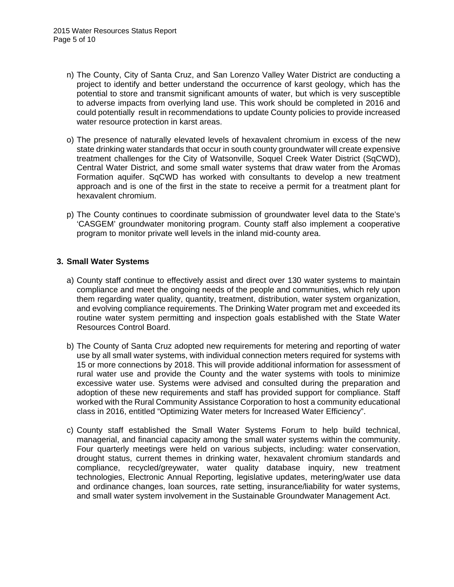- n) The County, City of Santa Cruz, and San Lorenzo Valley Water District are conducting a project to identify and better understand the occurrence of karst geology, which has the potential to store and transmit significant amounts of water, but which is very susceptible to adverse impacts from overlying land use. This work should be completed in 2016 and could potentially result in recommendations to update County policies to provide increased water resource protection in karst areas.
- o) The presence of naturally elevated levels of hexavalent chromium in excess of the new state drinking water standards that occur in south county groundwater will create expensive treatment challenges for the City of Watsonville, Soquel Creek Water District (SqCWD), Central Water District, and some small water systems that draw water from the Aromas Formation aquifer. SqCWD has worked with consultants to develop a new treatment approach and is one of the first in the state to receive a permit for a treatment plant for hexavalent chromium.
- p) The County continues to coordinate submission of groundwater level data to the State's 'CASGEM' groundwater monitoring program. County staff also implement a cooperative program to monitor private well levels in the inland mid-county area.

#### **3. Small Water Systems**

- a) County staff continue to effectively assist and direct over 130 water systems to maintain compliance and meet the ongoing needs of the people and communities, which rely upon them regarding water quality, quantity, treatment, distribution, water system organization, and evolving compliance requirements. The Drinking Water program met and exceeded its routine water system permitting and inspection goals established with the State Water Resources Control Board.
- b) The County of Santa Cruz adopted new requirements for metering and reporting of water use by all small water systems, with individual connection meters required for systems with 15 or more connections by 2018. This will provide additional information for assessment of rural water use and provide the County and the water systems with tools to minimize excessive water use. Systems were advised and consulted during the preparation and adoption of these new requirements and staff has provided support for compliance. Staff worked with the Rural Community Assistance Corporation to host a community educational class in 2016, entitled "Optimizing Water meters for Increased Water Efficiency".
- c) County staff established the Small Water Systems Forum to help build technical, managerial, and financial capacity among the small water systems within the community. Four quarterly meetings were held on various subjects, including: water conservation, drought status, current themes in drinking water, hexavalent chromium standards and compliance, recycled/greywater, water quality database inquiry, new treatment technologies, Electronic Annual Reporting, legislative updates, metering/water use data and ordinance changes, loan sources, rate setting, insurance/liability for water systems, and small water system involvement in the Sustainable Groundwater Management Act.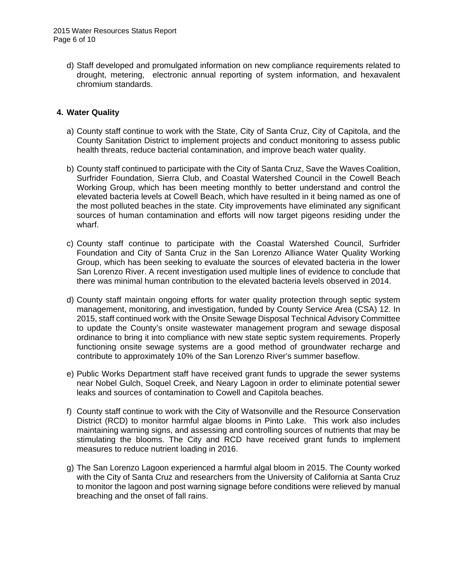d) Staff developed and promulgated information on new compliance requirements related to drought, metering, electronic annual reporting of system information, and hexavalent chromium standards.

## **4. Water Quality**

- a) County staff continue to work with the State, City of Santa Cruz, City of Capitola, and the County Sanitation District to implement projects and conduct monitoring to assess public health threats, reduce bacterial contamination, and improve beach water quality.
- b) County staff continued to participate with the City of Santa Cruz, Save the Waves Coalition, Surfrider Foundation, Sierra Club, and Coastal Watershed Council in the Cowell Beach Working Group, which has been meeting monthly to better understand and control the elevated bacteria levels at Cowell Beach, which have resulted in it being named as one of the most polluted beaches in the state. City improvements have eliminated any significant sources of human contamination and efforts will now target pigeons residing under the wharf.
- c) County staff continue to participate with the Coastal Watershed Council, Surfrider Foundation and City of Santa Cruz in the San Lorenzo Alliance Water Quality Working Group, which has been seeking to evaluate the sources of elevated bacteria in the lower San Lorenzo River. A recent investigation used multiple lines of evidence to conclude that there was minimal human contribution to the elevated bacteria levels observed in 2014.
- d) County staff maintain ongoing efforts for water quality protection through septic system management, monitoring, and investigation, funded by County Service Area (CSA) 12. In 2015, staff continued work with the Onsite Sewage Disposal Technical Advisory Committee to update the County's onsite wastewater management program and sewage disposal ordinance to bring it into compliance with new state septic system requirements. Properly functioning onsite sewage systems are a good method of groundwater recharge and contribute to approximately 10% of the San Lorenzo River's summer baseflow.
- e) Public Works Department staff have received grant funds to upgrade the sewer systems near Nobel Gulch, Soquel Creek, and Neary Lagoon in order to eliminate potential sewer leaks and sources of contamination to Cowell and Capitola beaches.
- f) County staff continue to work with the City of Watsonville and the Resource Conservation District (RCD) to monitor harmful algae blooms in Pinto Lake. This work also includes maintaining warning signs, and assessing and controlling sources of nutrients that may be stimulating the blooms. The City and RCD have received grant funds to implement measures to reduce nutrient loading in 2016.
- g) The San Lorenzo Lagoon experienced a harmful algal bloom in 2015. The County worked with the City of Santa Cruz and researchers from the University of California at Santa Cruz to monitor the lagoon and post warning signage before conditions were relieved by manual breaching and the onset of fall rains.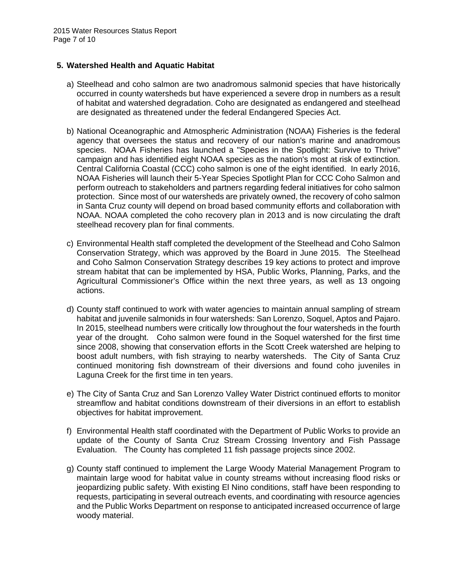## **5. Watershed Health and Aquatic Habitat**

- a) Steelhead and coho salmon are two anadromous salmonid species that have historically occurred in county watersheds but have experienced a severe drop in numbers as a result of habitat and watershed degradation. Coho are designated as endangered and steelhead are designated as threatened under the federal Endangered Species Act.
- b) National Oceanographic and Atmospheric Administration (NOAA) Fisheries is the federal agency that oversees the status and recovery of our nation's marine and anadromous species. NOAA Fisheries has launched a "Species in the Spotlight: Survive to Thrive" campaign and has identified eight NOAA species as the nation's most at risk of extinction. Central California Coastal (CCC) coho salmon is one of the eight identified. In early 2016, NOAA Fisheries will launch their 5-Year Species Spotlight Plan for CCC Coho Salmon and perform outreach to stakeholders and partners regarding federal initiatives for coho salmon protection. Since most of our watersheds are privately owned, the recovery of coho salmon in Santa Cruz county will depend on broad based community efforts and collaboration with NOAA. NOAA completed the coho recovery plan in 2013 and is now circulating the draft steelhead recovery plan for final comments.
- c) Environmental Health staff completed the development of the Steelhead and Coho Salmon Conservation Strategy, which was approved by the Board in June 2015. The Steelhead and Coho Salmon Conservation Strategy describes 19 key actions to protect and improve stream habitat that can be implemented by HSA, Public Works, Planning, Parks, and the Agricultural Commissioner's Office within the next three years, as well as 13 ongoing actions.
- d) County staff continued to work with water agencies to maintain annual sampling of stream habitat and juvenile salmonids in four watersheds: San Lorenzo, Soquel, Aptos and Pajaro. In 2015, steelhead numbers were critically low throughout the four watersheds in the fourth year of the drought. Coho salmon were found in the Soquel watershed for the first time since 2008, showing that conservation efforts in the Scott Creek watershed are helping to boost adult numbers, with fish straying to nearby watersheds. The City of Santa Cruz continued monitoring fish downstream of their diversions and found coho juveniles in Laguna Creek for the first time in ten years.
- e) The City of Santa Cruz and San Lorenzo Valley Water District continued efforts to monitor streamflow and habitat conditions downstream of their diversions in an effort to establish objectives for habitat improvement.
- f) Environmental Health staff coordinated with the Department of Public Works to provide an update of the County of Santa Cruz Stream Crossing Inventory and Fish Passage Evaluation. The County has completed 11 fish passage projects since 2002.
- g) County staff continued to implement the Large Woody Material Management Program to maintain large wood for habitat value in county streams without increasing flood risks or jeopardizing public safety. With existing El Nino conditions, staff have been responding to requests, participating in several outreach events, and coordinating with resource agencies and the Public Works Department on response to anticipated increased occurrence of large woody material.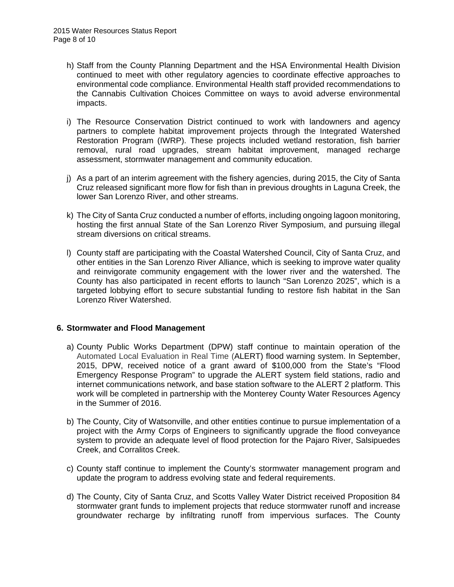- h) Staff from the County Planning Department and the HSA Environmental Health Division continued to meet with other regulatory agencies to coordinate effective approaches to environmental code compliance. Environmental Health staff provided recommendations to the Cannabis Cultivation Choices Committee on ways to avoid adverse environmental impacts.
- i) The Resource Conservation District continued to work with landowners and agency partners to complete habitat improvement projects through the Integrated Watershed Restoration Program (IWRP). These projects included wetland restoration, fish barrier removal, rural road upgrades, stream habitat improvement, managed recharge assessment, stormwater management and community education.
- j) As a part of an interim agreement with the fishery agencies, during 2015, the City of Santa Cruz released significant more flow for fish than in previous droughts in Laguna Creek, the lower San Lorenzo River, and other streams.
- k) The City of Santa Cruz conducted a number of efforts, including ongoing lagoon monitoring, hosting the first annual State of the San Lorenzo River Symposium, and pursuing illegal stream diversions on critical streams.
- l) County staff are participating with the Coastal Watershed Council, City of Santa Cruz, and other entities in the San Lorenzo River Alliance, which is seeking to improve water quality and reinvigorate community engagement with the lower river and the watershed. The County has also participated in recent efforts to launch "San Lorenzo 2025", which is a targeted lobbying effort to secure substantial funding to restore fish habitat in the San Lorenzo River Watershed.

#### **6. Stormwater and Flood Management**

- a) County Public Works Department (DPW) staff continue to maintain operation of the Automated Local Evaluation in Real Time (ALERT) flood warning system. In September, 2015, DPW, received notice of a grant award of \$100,000 from the State's "Flood Emergency Response Program" to upgrade the ALERT system field stations, radio and internet communications network, and base station software to the ALERT 2 platform. This work will be completed in partnership with the Monterey County Water Resources Agency in the Summer of 2016.
- b) The County, City of Watsonville, and other entities continue to pursue implementation of a project with the Army Corps of Engineers to significantly upgrade the flood conveyance system to provide an adequate level of flood protection for the Pajaro River, Salsipuedes Creek, and Corralitos Creek.
- c) County staff continue to implement the County's stormwater management program and update the program to address evolving state and federal requirements.
- d) The County, City of Santa Cruz, and Scotts Valley Water District received Proposition 84 stormwater grant funds to implement projects that reduce stormwater runoff and increase groundwater recharge by infiltrating runoff from impervious surfaces. The County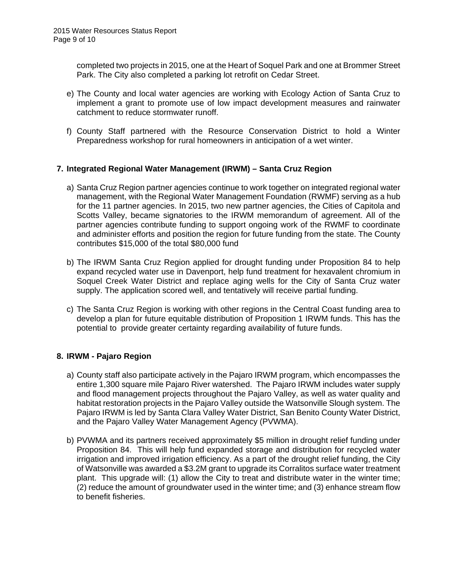completed two projects in 2015, one at the Heart of Soquel Park and one at Brommer Street Park. The City also completed a parking lot retrofit on Cedar Street.

- e) The County and local water agencies are working with Ecology Action of Santa Cruz to implement a grant to promote use of low impact development measures and rainwater catchment to reduce stormwater runoff.
- f) County Staff partnered with the Resource Conservation District to hold a Winter Preparedness workshop for rural homeowners in anticipation of a wet winter.

## **7. Integrated Regional Water Management (IRWM) – Santa Cruz Region**

- a) Santa Cruz Region partner agencies continue to work together on integrated regional water management, with the Regional Water Management Foundation (RWMF) serving as a hub for the 11 partner agencies. In 2015, two new partner agencies, the Cities of Capitola and Scotts Valley, became signatories to the IRWM memorandum of agreement. All of the partner agencies contribute funding to support ongoing work of the RWMF to coordinate and administer efforts and position the region for future funding from the state. The County contributes \$15,000 of the total \$80,000 fund
- b) The IRWM Santa Cruz Region applied for drought funding under Proposition 84 to help expand recycled water use in Davenport, help fund treatment for hexavalent chromium in Soquel Creek Water District and replace aging wells for the City of Santa Cruz water supply. The application scored well, and tentatively will receive partial funding.
- c) The Santa Cruz Region is working with other regions in the Central Coast funding area to develop a plan for future equitable distribution of Proposition 1 IRWM funds. This has the potential to provide greater certainty regarding availability of future funds.

## **8. IRWM - Pajaro Region**

- a) County staff also participate actively in the Pajaro IRWM program, which encompasses the entire 1,300 square mile Pajaro River watershed. The Pajaro IRWM includes water supply and flood management projects throughout the Pajaro Valley, as well as water quality and habitat restoration projects in the Pajaro Valley outside the Watsonville Slough system. The Pajaro IRWM is led by Santa Clara Valley Water District, San Benito County Water District, and the Pajaro Valley Water Management Agency (PVWMA).
- b) PVWMA and its partners received approximately \$5 million in drought relief funding under Proposition 84. This will help fund expanded storage and distribution for recycled water irrigation and improved irrigation efficiency. As a part of the drought relief funding, the City of Watsonville was awarded a \$3.2M grant to upgrade its Corralitos surface water treatment plant. This upgrade will: (1) allow the City to treat and distribute water in the winter time; (2) reduce the amount of groundwater used in the winter time; and (3) enhance stream flow to benefit fisheries.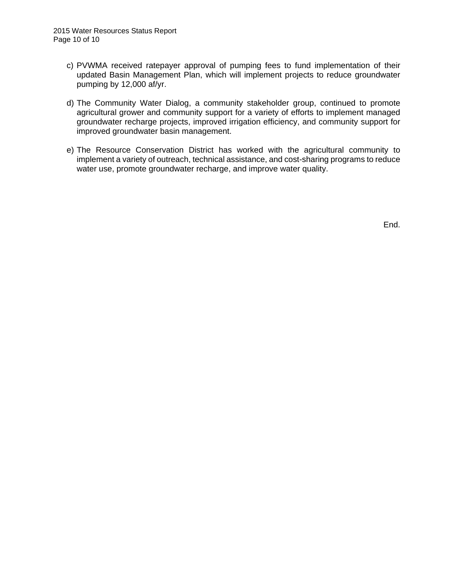- c) PVWMA received ratepayer approval of pumping fees to fund implementation of their updated Basin Management Plan, which will implement projects to reduce groundwater pumping by 12,000 af/yr.
- d) The Community Water Dialog, a community stakeholder group, continued to promote agricultural grower and community support for a variety of efforts to implement managed groundwater recharge projects, improved irrigation efficiency, and community support for improved groundwater basin management.
- e) The Resource Conservation District has worked with the agricultural community to implement a variety of outreach, technical assistance, and cost-sharing programs to reduce water use, promote groundwater recharge, and improve water quality.

End.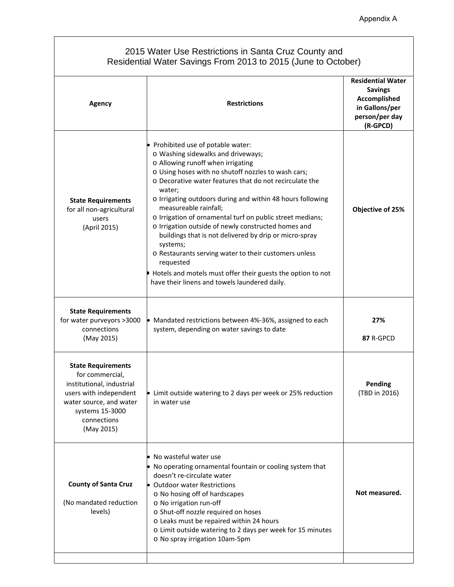## 2015 Water Use Restrictions in Santa Cruz County and Residential Water Savings From 2013 to 2015 (June to October)

| Agency                                                                                                                                                                         | <b>Restrictions</b>                                                                                                                                                                                                                                                                                                                                                                                                                                                                                                                                                                                                                                                                                              | <b>Residential Water</b><br><b>Savings</b><br>Accomplished<br>in Gallons/per<br>person/per day<br>(R-GPCD) |  |
|--------------------------------------------------------------------------------------------------------------------------------------------------------------------------------|------------------------------------------------------------------------------------------------------------------------------------------------------------------------------------------------------------------------------------------------------------------------------------------------------------------------------------------------------------------------------------------------------------------------------------------------------------------------------------------------------------------------------------------------------------------------------------------------------------------------------------------------------------------------------------------------------------------|------------------------------------------------------------------------------------------------------------|--|
| <b>State Requirements</b><br>for all non-agricultural<br>users<br>(April 2015)                                                                                                 | • Prohibited use of potable water:<br>o Washing sidewalks and driveways;<br>o Allowing runoff when irrigating<br>o Using hoses with no shutoff nozzles to wash cars;<br>o Decorative water features that do not recirculate the<br>water;<br>o Irrigating outdoors during and within 48 hours following<br>measureable rainfall;<br>o Irrigation of ornamental turf on public street medians;<br>o Irrigation outside of newly constructed homes and<br>buildings that is not delivered by drip or micro-spray<br>systems;<br>o Restaurants serving water to their customers unless<br>requested<br>Hotels and motels must offer their guests the option to not<br>have their linens and towels laundered daily. | Objective of 25%                                                                                           |  |
| <b>State Requirements</b><br>for water purveyors >3000<br>connections<br>(May 2015)                                                                                            | • Mandated restrictions between 4%-36%, assigned to each<br>system, depending on water savings to date                                                                                                                                                                                                                                                                                                                                                                                                                                                                                                                                                                                                           | 27%<br>87 R-GPCD                                                                                           |  |
| <b>State Requirements</b><br>for commercial,<br>institutional, industrial<br>users with independent<br>water source, and water<br>systems 15-3000<br>connections<br>(May 2015) | • Limit outside watering to 2 days per week or 25% reduction<br>in water use                                                                                                                                                                                                                                                                                                                                                                                                                                                                                                                                                                                                                                     | Pending<br>(TBD in 2016)                                                                                   |  |
| <b>County of Santa Cruz</b><br>(No mandated reduction<br>levels)                                                                                                               | • No wasteful water use<br>• No operating ornamental fountain or cooling system that<br>doesn't re-circulate water<br><b>Outdoor water Restrictions</b><br>o No hosing off of hardscapes<br>o No irrigation run-off<br>o Shut-off nozzle required on hoses<br>o Leaks must be repaired within 24 hours<br>o Limit outside watering to 2 days per week for 15 minutes<br>o No spray irrigation 10am-5pm                                                                                                                                                                                                                                                                                                           | Not measured.                                                                                              |  |
|                                                                                                                                                                                |                                                                                                                                                                                                                                                                                                                                                                                                                                                                                                                                                                                                                                                                                                                  |                                                                                                            |  |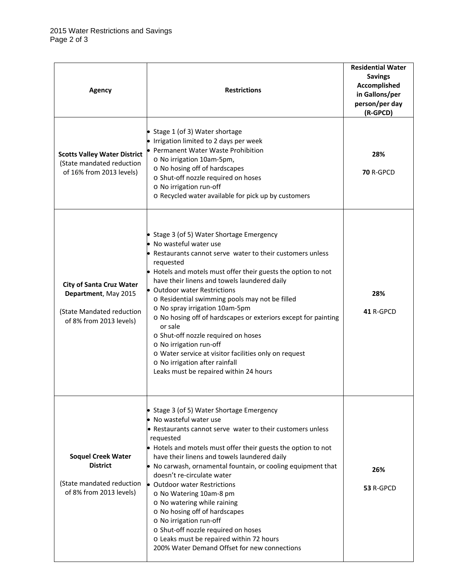| <b>Agency</b>                                                                                                   | <b>Restrictions</b>                                                                                                                                                                                                                                                                                                                                                                                                                                                                                                                                                                                                                                                      | <b>Residential Water</b><br><b>Savings</b><br>Accomplished<br>in Gallons/per<br>person/per day<br>(R-GPCD) |  |
|-----------------------------------------------------------------------------------------------------------------|--------------------------------------------------------------------------------------------------------------------------------------------------------------------------------------------------------------------------------------------------------------------------------------------------------------------------------------------------------------------------------------------------------------------------------------------------------------------------------------------------------------------------------------------------------------------------------------------------------------------------------------------------------------------------|------------------------------------------------------------------------------------------------------------|--|
| <b>Scotts Valley Water District</b><br>(State mandated reduction<br>of 16% from 2013 levels)                    | • Stage 1 (of 3) Water shortage<br>• Irrigation limited to 2 days per week<br>• Permanent Water Waste Prohibition<br>o No irrigation 10am-5pm,<br>o No hosing off of hardscapes<br>o Shut-off nozzle required on hoses<br>o No irrigation run-off<br>o Recycled water available for pick up by customers                                                                                                                                                                                                                                                                                                                                                                 | 28%<br><b>70 R-GPCD</b>                                                                                    |  |
| <b>City of Santa Cruz Water</b><br>Department, May 2015<br>(State Mandated reduction<br>of 8% from 2013 levels) | • Stage 3 (of 5) Water Shortage Emergency<br>• No wasteful water use<br>• Restaurants cannot serve water to their customers unless<br>requested<br>• Hotels and motels must offer their guests the option to not<br>have their linens and towels laundered daily<br>• Outdoor water Restrictions<br>o Residential swimming pools may not be filled<br>o No spray irrigation 10am-5pm<br>o No hosing off of hardscapes or exteriors except for painting<br>or sale<br>o Shut-off nozzle required on hoses<br>o No irrigation run-off<br>o Water service at visitor facilities only on request<br>o No irrigation after rainfall<br>Leaks must be repaired within 24 hours | 28%<br>41 R-GPCD                                                                                           |  |
| <b>Soquel Creek Water</b><br><b>District</b><br>(State mandated reduction<br>of 8% from 2013 levels)            | • Stage 3 (of 5) Water Shortage Emergency<br>• No wasteful water use<br>• Restaurants cannot serve water to their customers unless<br>requested<br>• Hotels and motels must offer their guests the option to not<br>have their linens and towels laundered daily<br>• No carwash, ornamental fountain, or cooling equipment that<br>doesn't re-circulate water<br>• Outdoor water Restrictions<br>o No Watering 10am-8 pm<br>o No watering while raining<br>o No hosing off of hardscapes<br>o No irrigation run-off<br>o Shut-off nozzle required on hoses<br>o Leaks must be repaired within 72 hours<br>200% Water Demand Offset for new connections                  | 26%<br>53 R-GPCD                                                                                           |  |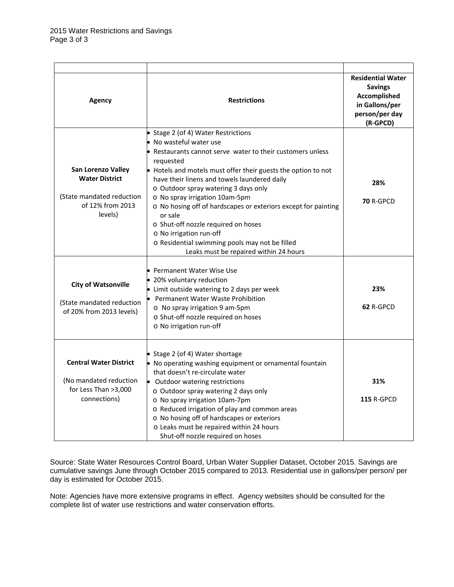| Agency                                                                                                                                                                                         | <b>Restrictions</b>                                                                                                                                                                                                                                                                                                                                                                                                                                                                                                                                                                                                                                                                                                                                                                                 | <b>Residential Water</b><br><b>Savings</b><br>Accomplished<br>in Gallons/per<br>person/per day<br>(R-GPCD) |
|------------------------------------------------------------------------------------------------------------------------------------------------------------------------------------------------|-----------------------------------------------------------------------------------------------------------------------------------------------------------------------------------------------------------------------------------------------------------------------------------------------------------------------------------------------------------------------------------------------------------------------------------------------------------------------------------------------------------------------------------------------------------------------------------------------------------------------------------------------------------------------------------------------------------------------------------------------------------------------------------------------------|------------------------------------------------------------------------------------------------------------|
| San Lorenzo Valley<br><b>Water District</b><br>(State mandated reduction<br>of 12% from 2013<br>levels)<br><b>City of Watsonville</b><br>(State mandated reduction<br>of 20% from 2013 levels) | • Stage 2 (of 4) Water Restrictions<br>No wasteful water use<br>Restaurants cannot serve water to their customers unless<br>requested<br>• Hotels and motels must offer their guests the option to not<br>have their linens and towels laundered daily<br>o Outdoor spray watering 3 days only<br>o No spray irrigation 10am-5pm<br>o No hosing off of hardscapes or exteriors except for painting<br>or sale<br>o Shut-off nozzle required on hoses<br>o No irrigation run-off<br>o Residential swimming pools may not be filled<br>Leaks must be repaired within 24 hours<br>• Permanent Water Wise Use<br>• 20% voluntary reduction<br>• Limit outside watering to 2 days per week<br>Permanent Water Waste Prohibition<br>o No spray irrigation 9 am-5pm<br>o Shut-off nozzle required on hoses | 28%<br><b>70 R-GPCD</b><br>23%<br>62 R-GPCD                                                                |
| <b>Central Water District</b>                                                                                                                                                                  | o No irrigation run-off<br>• Stage 2 (of 4) Water shortage<br>• No operating washing equipment or ornamental fountain                                                                                                                                                                                                                                                                                                                                                                                                                                                                                                                                                                                                                                                                               |                                                                                                            |
| (No mandated reduction<br>for Less Than >3,000<br>connections)                                                                                                                                 | that doesn't re-circulate water<br>Outdoor watering restrictions<br>o Outdoor spray watering 2 days only<br>o No spray irrigation 10am-7pm<br>o Reduced irrigation of play and common areas<br>o No hosing off of hardscapes or exteriors<br>o Leaks must be repaired within 24 hours<br>Shut-off nozzle required on hoses                                                                                                                                                                                                                                                                                                                                                                                                                                                                          | 31%<br><b>115 R-GPCD</b>                                                                                   |

Source: State Water Resources Control Board, Urban Water Supplier Dataset, October 2015. Savings are cumulative savings June through October 2015 compared to 2013. Residential use in gallons/per person/ per day is estimated for October 2015.

Note: Agencies have more extensive programs in effect. Agency websites should be consulted for the complete list of water use restrictions and water conservation efforts.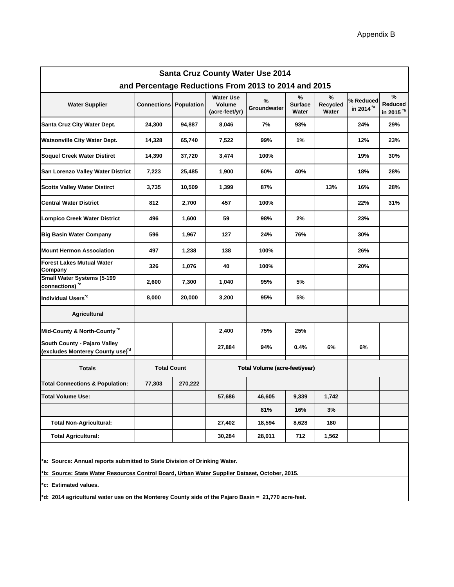| <b>Santa Cruz County Water Use 2014</b>                                                      |                    |            |                                              |                  |                              |                        |                                    |                                              |  |  |
|----------------------------------------------------------------------------------------------|--------------------|------------|----------------------------------------------|------------------|------------------------------|------------------------|------------------------------------|----------------------------------------------|--|--|
| and Percentage Reductions From 2013 to 2014 and 2015                                         |                    |            |                                              |                  |                              |                        |                                    |                                              |  |  |
| <b>Water Supplier</b>                                                                        | <b>Connections</b> | Population | <b>Water Use</b><br>Volume<br>(acre-feet/yr) | %<br>Groundwater | %<br><b>Surface</b><br>Water | %<br>Recycled<br>Water | % Reduced<br>in 2014 <sup>*a</sup> | %<br><b>Reduced</b><br>in 2015 <sup>*b</sup> |  |  |
| Santa Cruz City Water Dept.                                                                  | 24,300             | 94,887     | 8,046                                        | 7%               | 93%                          |                        | 24%                                | 29%                                          |  |  |
| <b>Watsonville City Water Dept.</b>                                                          | 14,328             | 65,740     | 7,522                                        | 99%              | 1%                           |                        | 12%                                | 23%                                          |  |  |
| Soquel Creek Water Distirct                                                                  | 14,390             | 37,720     | 3,474                                        | 100%             |                              |                        | 19%                                | 30%                                          |  |  |
| San Lorenzo Valley Water District                                                            | 7,223              | 25,485     | 1,900                                        | 60%              | 40%                          |                        | 18%                                | 28%                                          |  |  |
| <b>Scotts Valley Water Distirct</b>                                                          | 3,735              | 10,509     | 1,399                                        | 87%              |                              | 13%                    | 16%                                | 28%                                          |  |  |
| <b>Central Water District</b>                                                                | 812                | 2,700      | 457                                          | 100%             |                              |                        | 22%                                | 31%                                          |  |  |
| <b>Lompico Creek Water District</b>                                                          | 496                | 1,600      | 59                                           | 98%              | 2%                           |                        | 23%                                |                                              |  |  |
| <b>Big Basin Water Company</b>                                                               | 596                | 1,967      | 127                                          | 24%              | 76%                          |                        | 30%                                |                                              |  |  |
| <b>Mount Hermon Association</b>                                                              | 497                | 1,238      | 138                                          | 100%             |                              |                        | 26%                                |                                              |  |  |
| <b>Forest Lakes Mutual Water</b><br>Company                                                  | 326                | 1,076      | 40                                           | 100%             |                              |                        | 20%                                |                                              |  |  |
| <b>Small Water Systems (5-199</b><br>connections) *c                                         | 2,600              | 7,300      | 1,040                                        | 95%              | 5%                           |                        |                                    |                                              |  |  |
| Individual Users <sup>*c</sup>                                                               | 8,000              | 20,000     | 3,200                                        | 95%              | 5%                           |                        |                                    |                                              |  |  |
| <b>Agricultural</b>                                                                          |                    |            |                                              |                  |                              |                        |                                    |                                              |  |  |
| Mid-County & North-County <sup>*c</sup>                                                      |                    |            | 2,400                                        | 75%              | 25%                          |                        |                                    |                                              |  |  |
| South County - Pajaro Valley<br>(excludes Monterey County use) <sup>'d</sup>                 |                    |            | 27,884                                       | 94%              | 0.4%                         | 6%                     | 6%                                 |                                              |  |  |
| <b>Totals</b>                                                                                | <b>Total Count</b> |            | Total Volume (acre-feet/year)                |                  |                              |                        |                                    |                                              |  |  |
| <b>Total Connections &amp; Population:</b>                                                   | 77,303             | 270,222    |                                              |                  |                              |                        |                                    |                                              |  |  |
| <b>Total Volume Use:</b>                                                                     |                    |            | 57,686                                       | 46,605           | 9,339                        | 1,742                  |                                    |                                              |  |  |
|                                                                                              |                    |            |                                              | 81%              | 16%                          | 3%                     |                                    |                                              |  |  |
| <b>Total Non-Agricultural:</b>                                                               |                    |            | 27,402                                       | 18,594           | 8,628                        | 180                    |                                    |                                              |  |  |
| <b>Total Agricultural:</b>                                                                   |                    |            | 30,284                                       | 28,011           | 712                          | 1,562                  |                                    |                                              |  |  |
| *a: Source: Annual reports submitted to State Division of Drinking Water.                    |                    |            |                                              |                  |                              |                        |                                    |                                              |  |  |
|                                                                                              |                    |            |                                              |                  |                              |                        |                                    |                                              |  |  |
| b: Source: State Water Resources Control Board, Urban Water Supplier Dataset, October, 2015. |                    |            |                                              |                  |                              |                        |                                    |                                              |  |  |

**\*c: Estimated values.**

**\*d: 2014 agricultural water use on the Monterey County side of the Pajaro Basin = 21,770 acre-feet.**